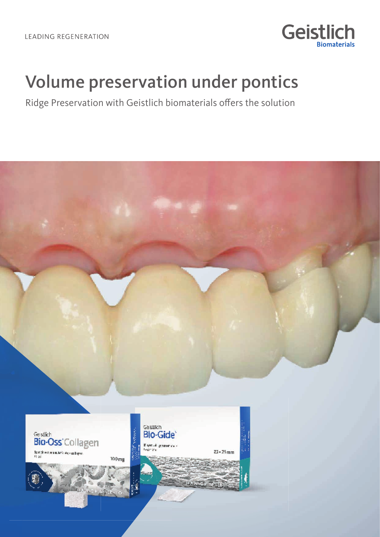

# Volume preservation under pontics

Ridge Preservation with Geistlich biomaterials offers the solution

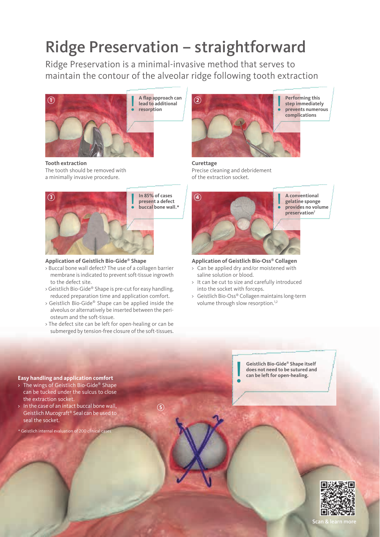# Ridge Preservation – straightforward

Ridge Preservation is a minimal-invasive method that serves to maintain the contour of the alveolar ridge following tooth extraction



**Tooth extraction** The tooth should be removed with a minimally invasive procedure.



#### **Application of Geistlich Bio-Gide® Shape**

- > Buccal bone wall defect? The use of a collagen barrier membrane is indicated to prevent soft-tissue ingrowth to the defect site.
- > Geistlich Bio-Gide® Shape is pre-cut for easy handling, reduced preparation time and application comfort.
- > Geistlich Bio-Gide® Shape can be applied inside the alveolus or alternatively be inserted between the periosteum and the soft-tissue.
- > The defect site can be left for open-healing or can be submerged by tension-free closure of the soft-tissues.



**Curettage** Precise cleaning and debridement of the extraction socket.

**4**



**Application of Geistlich Bio-Oss® Collagen**

- > Can be applied dry and/or moistened with saline solution or blood.
- > It can be cut to size and carefully introduced into the socket with forceps.
- > Geistlich Bio-Oss® Collagen maintains long-term volume through slow resorption.<sup>1,2</sup>

**Geistlich Bio-Gide® Shape itself does not need to be sutured and C**eistlich Bio-Gide® Shape it<br>does not need to be sutured<br>can be left for open-healing.



Scan &

#### **Easy handling and application comfort**

- The wings of Geistlich Bio-Gide® Shape can be tucked under the sulcus to close the extraction socket.
- > In the case of an intact buccal bone wall, Geistlich Mucograft® Seal can be used to seal the socket.

\* Geistlich internal evaluation of 200 clinical cases

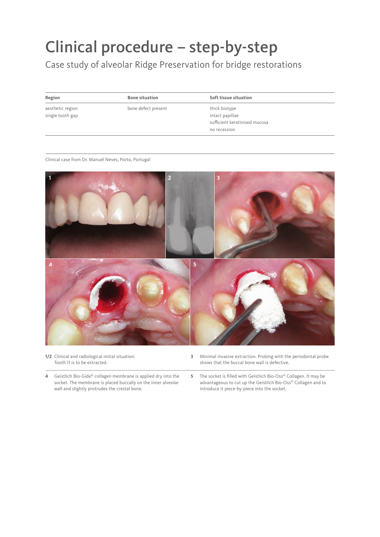# Clinical procedure – step-by-step

Case study of alveolar Ridge Preservation for bridge restorations

aesthetic region single tooth gap bone defect present thick biotype

**Region Bone situation Soft tissue situation**

intact papillae sufficient keratinised mucosa no recession

Clinical case from Dr. Manuel Neves, Porto, Portugal



**1/2** Clinical and radiological initial situation. Tooth 11 is to be extracted.

- **3** Minimal invasive extraction. Probing with the periodontal probe shows that the buccal bone wall is defective.
- **4** Geistlich Bio-Gide® collagen membrane is applied dry into the socket. The membrane is placed buccally on the inner alveolar wall and slightly protrudes the crestal bone.
- **5** The socket is filled with Geistlich Bio-Oss® Collagen. It may be advantageous to cut up the Geistlich Bio-Oss® Collagen and to introduce it piece-by-piece into the socket.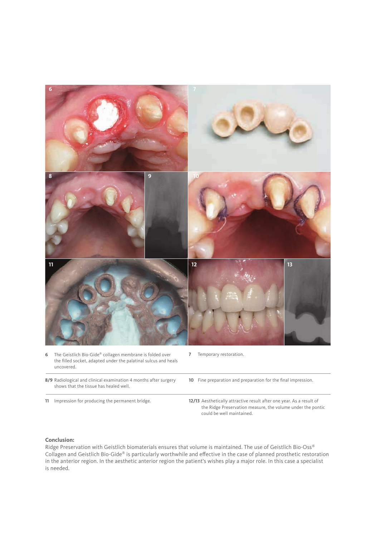

**8/9** Radiological and clinical examination 4 months after surgery shows that the tissue has healed well.

**11** Impression for producing the permanent bridge. **12/13** Aesthetically attractive result after one year. As a result of the Ridge Preservation measure, the volume under the pontic could be well maintained.

#### **Conclusion:**

Ridge Preservation with Geistlich biomaterials ensures that volume is maintained. The use of Geistlich Bio-Oss® Collagen and Geistlich Bio-Gide® is particularly worthwhile and effective in the case of planned prosthetic restoration in the anterior region. In the aesthetic anterior region the patient's wishes play a major role. In this case a specialist is needed.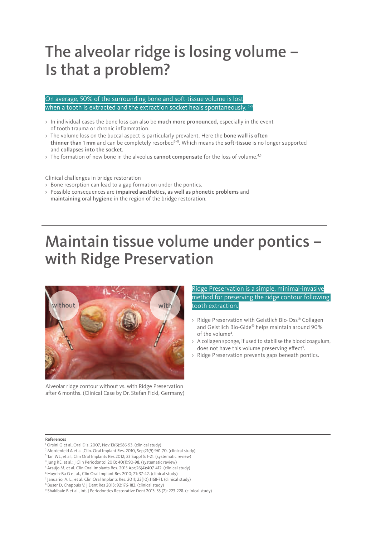### The alveolar ridge is losing volume – Is that a problem?

On average, 50% of the surrounding bone and soft-tissue volume is lost when a tooth is extracted and the extraction socket heals spontaneously.

- > In individual cases the bone loss can also be much more pronounced, especially in the event of tooth trauma or chronic inflammation.
- > The volume loss on the buccal aspect is particularly prevalent. Here the bone wall is often thinner than 1 mm and can be completely resorbed<sup>6-8</sup>. Which means the soft-tissue is no longer supported and collapses into the socket.
- > The formation of new bone in the alveolus cannot compensate for the loss of volume.<sup>4,5</sup>

Clinical challenges in bridge restoration

- > Bone resorption can lead to a gap formation under the pontics.
- > Possible consequences are impaired aesthetics, as well as phonetic problems and maintaining oral hygiene in the region of the bridge restoration.

## Maintain tissue volume under pontics – with Ridge Preservation



Alveolar ridge contour without vs. with Ridge Preservation after 6 months. (Clinical Case by Dr. Stefan Fickl, Germany) Ridge Preservation is a simple, minimal-invasive method for preserving the ridge contour following tooth extraction.

- > Ridge Preservation with Geistlich Bio-Oss® Collagen and Geistlich Bio-Gide® helps maintain around 90% of the volume<sup>4</sup>.
- > A collagen sponge, if used to stabilise the blood coagulum, does not have this volume preserving effect<sup>9</sup>.
- > Ridge Preservation prevents gaps beneath pontics.

#### References

- 1 Orsini G et al.,Oral Dis. 2007, Nov;13(6):586-93. (clinical study)
- 2 Mordenfeld A et al.,Clin. Oral Implant Res. 2010, Sep;21(9):961-70. (clinical study)
- <sup>3</sup> Tan WL, et al.; Clin Oral Implants Res 2012; 23 Suppl 5: 1-21. (systematic review)
- 4 Jung RE, et al.; J Clin Periodontol 2013; 40(1):90-98. (systematic review)
- <sup>5</sup> Araújo M, et al. Clin Oral Implants Res. 2015 Apr;26(4):407-412. (clinical study)
- 6 Huynh-Ba G et al., Clin Oral Implant Res 2010; 21: 37-42. (clinical study)
- 7 Januario, A. L., et al. Clin Oral Implants Res. 2011; 22(10):1168-71. (clinical study)
- 8 Buser D, Chappuis V, J Dent Res 2013; 92:176-182. (clinical study)

<sup>9</sup> Shakibaie B et al., Int. J Periodontics Restorative Dent 2013; 33 (2): 223-228. (clinical study)